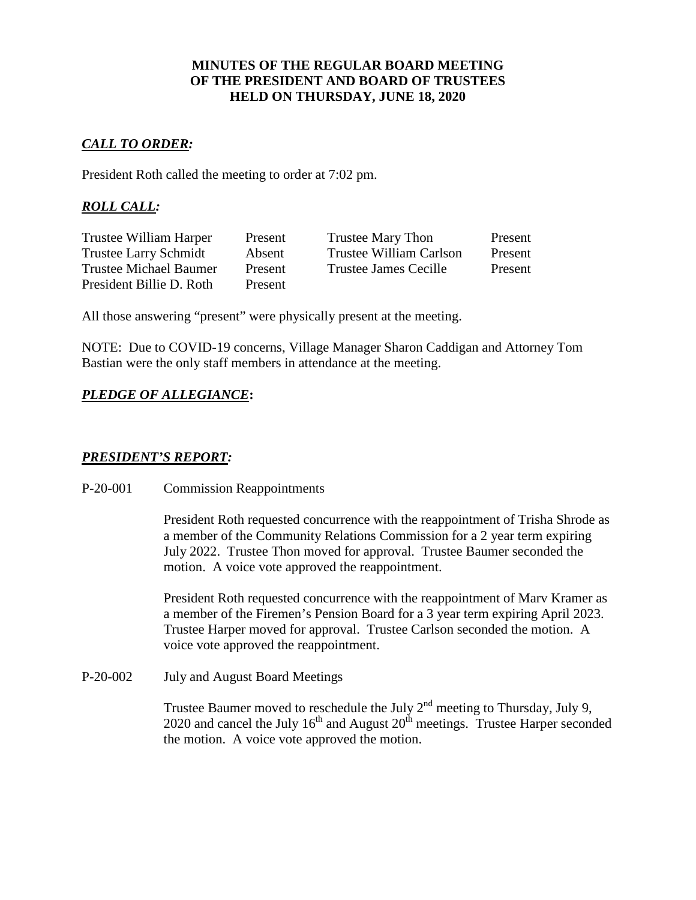### **MINUTES OF THE REGULAR BOARD MEETING OF THE PRESIDENT AND BOARD OF TRUSTEES HELD ON THURSDAY, JUNE 18, 2020**

## *CALL TO ORDER:*

President Roth called the meeting to order at 7:02 pm.

# *ROLL CALL:*

| Trustee William Harper        | Present | Trustee Mary Thon            | Present |
|-------------------------------|---------|------------------------------|---------|
| <b>Trustee Larry Schmidt</b>  | Absent  | Trustee William Carlson      | Present |
| <b>Trustee Michael Baumer</b> | Present | <b>Trustee James Cecille</b> | Present |
| President Billie D. Roth      | Present |                              |         |

All those answering "present" were physically present at the meeting.

NOTE: Due to COVID-19 concerns, Village Manager Sharon Caddigan and Attorney Tom Bastian were the only staff members in attendance at the meeting.

# *PLEDGE OF ALLEGIANCE***:**

## *PRESIDENT'S REPORT:*

#### P-20-001 Commission Reappointments

President Roth requested concurrence with the reappointment of Trisha Shrode as a member of the Community Relations Commission for a 2 year term expiring July 2022. Trustee Thon moved for approval. Trustee Baumer seconded the motion. A voice vote approved the reappointment.

President Roth requested concurrence with the reappointment of Marv Kramer as a member of the Firemen's Pension Board for a 3 year term expiring April 2023. Trustee Harper moved for approval. Trustee Carlson seconded the motion. A voice vote approved the reappointment.

P-20-002 July and August Board Meetings

Trustee Baumer moved to reschedule the July  $2<sup>nd</sup>$  meeting to Thursday, July 9, 2020 and cancel the July  $16<sup>th</sup>$  and August  $20<sup>th</sup>$  meetings. Trustee Harper seconded the motion. A voice vote approved the motion.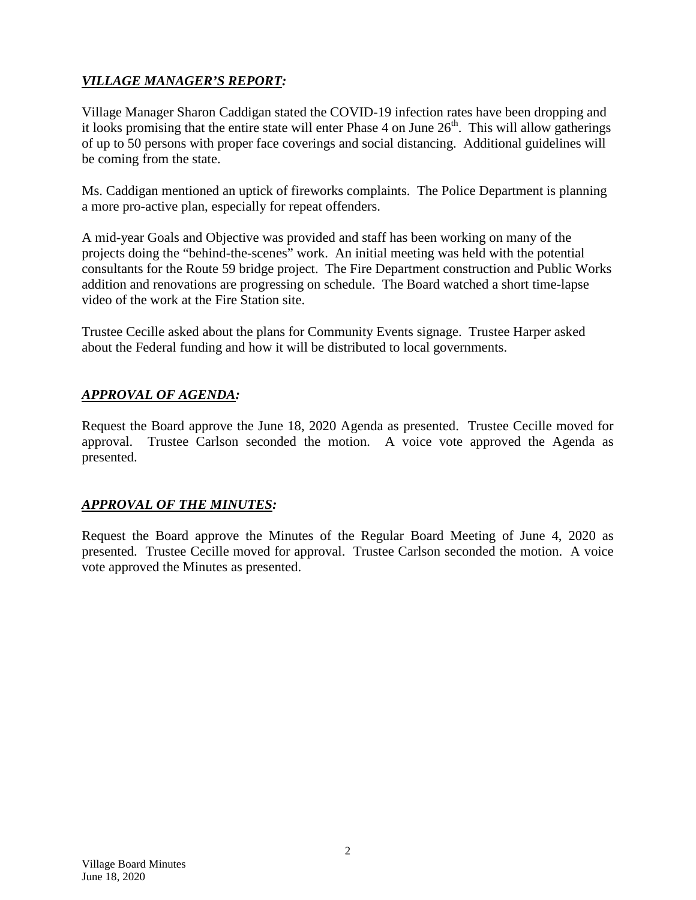# *VILLAGE MANAGER'S REPORT:*

Village Manager Sharon Caddigan stated the COVID-19 infection rates have been dropping and it looks promising that the entire state will enter Phase 4 on June  $26<sup>th</sup>$ . This will allow gatherings of up to 50 persons with proper face coverings and social distancing. Additional guidelines will be coming from the state.

Ms. Caddigan mentioned an uptick of fireworks complaints. The Police Department is planning a more pro-active plan, especially for repeat offenders.

A mid-year Goals and Objective was provided and staff has been working on many of the projects doing the "behind-the-scenes" work. An initial meeting was held with the potential consultants for the Route 59 bridge project. The Fire Department construction and Public Works addition and renovations are progressing on schedule. The Board watched a short time-lapse video of the work at the Fire Station site.

Trustee Cecille asked about the plans for Community Events signage. Trustee Harper asked about the Federal funding and how it will be distributed to local governments.

# *APPROVAL OF AGENDA:*

Request the Board approve the June 18, 2020 Agenda as presented. Trustee Cecille moved for approval. Trustee Carlson seconded the motion. A voice vote approved the Agenda as presented.

# *APPROVAL OF THE MINUTES:*

Request the Board approve the Minutes of the Regular Board Meeting of June 4, 2020 as presented. Trustee Cecille moved for approval. Trustee Carlson seconded the motion. A voice vote approved the Minutes as presented.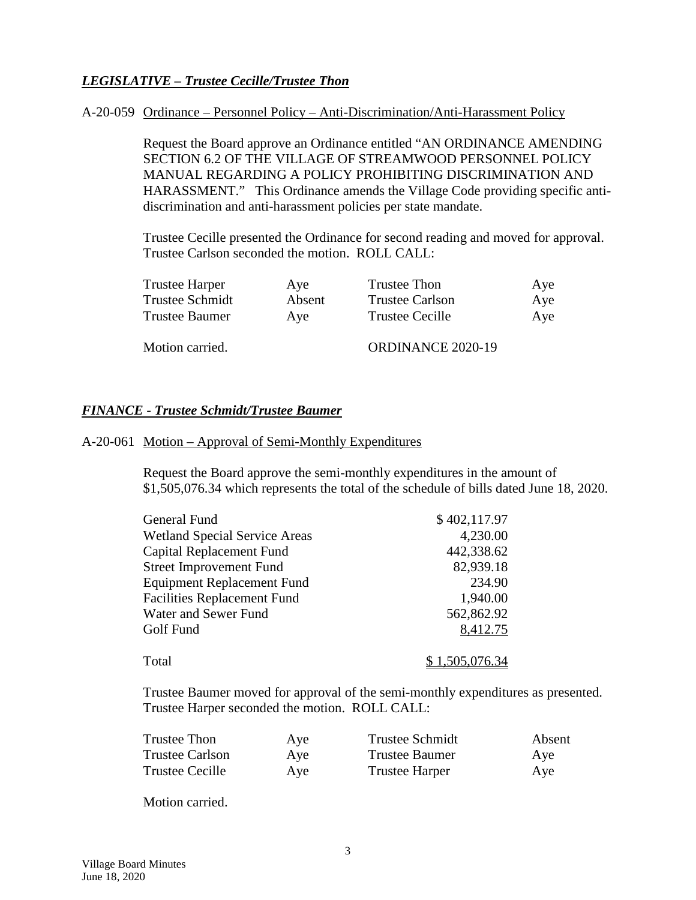# *LEGISLATIVE – Trustee Cecille/Trustee Thon*

#### A-20-059 Ordinance – Personnel Policy – Anti-Discrimination/Anti-Harassment Policy

Request the Board approve an Ordinance entitled "AN ORDINANCE AMENDING SECTION 6.2 OF THE VILLAGE OF STREAMWOOD PERSONNEL POLICY MANUAL REGARDING A POLICY PROHIBITING DISCRIMINATION AND HARASSMENT." This Ordinance amends the Village Code providing specific antidiscrimination and anti-harassment policies per state mandate.

Trustee Cecille presented the Ordinance for second reading and moved for approval. Trustee Carlson seconded the motion. ROLL CALL:

| <b>Trustee Harper</b>  | Aye    | Trustee Thon           | Aye |
|------------------------|--------|------------------------|-----|
| <b>Trustee Schmidt</b> | Absent | <b>Trustee Carlson</b> | Aye |
| Trustee Baumer         | Ave    | <b>Trustee Cecille</b> | Aye |
| Motion carried.        |        | ORDINANCE 2020-19      |     |

#### *FINANCE - Trustee Schmidt/Trustee Baumer*

#### A-20-061 Motion – Approval of Semi-Monthly Expenditures

Request the Board approve the semi-monthly expenditures in the amount of \$1,505,076.34 which represents the total of the schedule of bills dated June 18, 2020.

| General Fund                         | \$402,117.97   |
|--------------------------------------|----------------|
| <b>Wetland Special Service Areas</b> | 4,230.00       |
| Capital Replacement Fund             | 442,338.62     |
| <b>Street Improvement Fund</b>       | 82,939.18      |
| <b>Equipment Replacement Fund</b>    | 234.90         |
| <b>Facilities Replacement Fund</b>   | 1,940.00       |
| Water and Sewer Fund                 | 562,862.92     |
| Golf Fund                            | 8,412.75       |
| Total                                | \$1,505,076.34 |

Trustee Baumer moved for approval of the semi-monthly expenditures as presented. Trustee Harper seconded the motion. ROLL CALL:

| Trustee Thon           | Aye | <b>Trustee Schmidt</b> | Absent |
|------------------------|-----|------------------------|--------|
| <b>Trustee Carlson</b> | Aye | Trustee Baumer         | Aye    |
| <b>Trustee Cecille</b> | Aye | <b>Trustee Harper</b>  | Aye    |

Motion carried.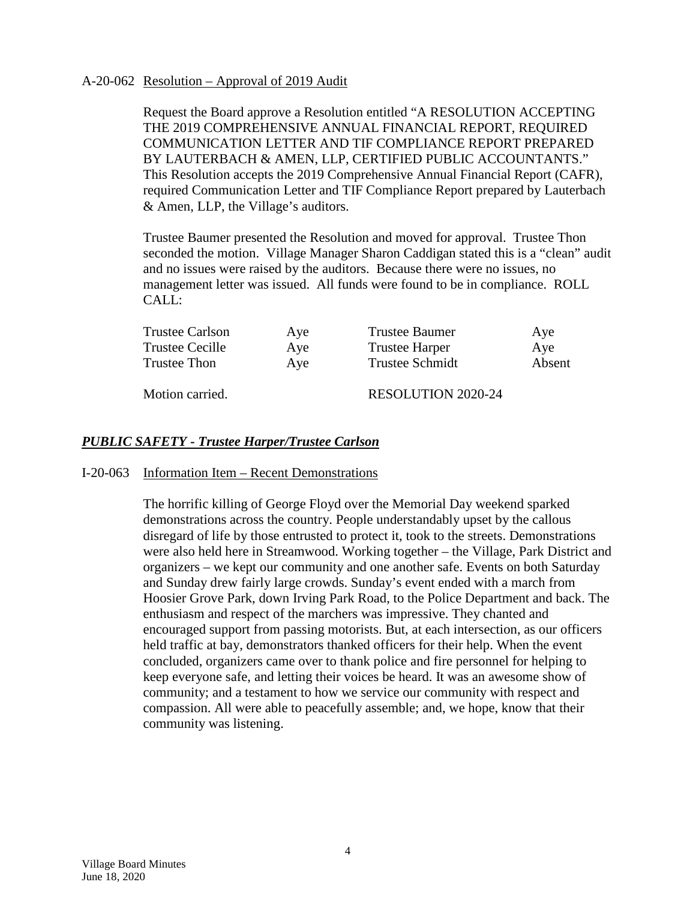### A-20-062 Resolution – Approval of 2019 Audit

Request the Board approve a Resolution entitled "A RESOLUTION ACCEPTING THE 2019 COMPREHENSIVE ANNUAL FINANCIAL REPORT, REQUIRED COMMUNICATION LETTER AND TIF COMPLIANCE REPORT PREPARED BY LAUTERBACH & AMEN, LLP, CERTIFIED PUBLIC ACCOUNTANTS." This Resolution accepts the 2019 Comprehensive Annual Financial Report (CAFR), required Communication Letter and TIF Compliance Report prepared by Lauterbach & Amen, LLP, the Village's auditors.

Trustee Baumer presented the Resolution and moved for approval. Trustee Thon seconded the motion. Village Manager Sharon Caddigan stated this is a "clean" audit and no issues were raised by the auditors. Because there were no issues, no management letter was issued. All funds were found to be in compliance. ROLL CALL:

| <b>Trustee Carlson</b> | Aye | <b>Trustee Baumer</b>     | Ave    |
|------------------------|-----|---------------------------|--------|
| Trustee Cecille        | Aye | <b>Trustee Harper</b>     | Aye    |
| Trustee Thon           | Aye | <b>Trustee Schmidt</b>    | Absent |
| Motion carried.        |     | <b>RESOLUTION 2020-24</b> |        |

### *PUBLIC SAFETY - Trustee Harper/Trustee Carlson*

#### I-20-063 Information Item – Recent Demonstrations

The horrific killing of George Floyd over the Memorial Day weekend sparked demonstrations across the country. People understandably upset by the callous disregard of life by those entrusted to protect it, took to the streets. Demonstrations were also held here in Streamwood. Working together – the Village, Park District and organizers – we kept our community and one another safe. Events on both Saturday and Sunday drew fairly large crowds. Sunday's event ended with a march from Hoosier Grove Park, down Irving Park Road, to the Police Department and back. The enthusiasm and respect of the marchers was impressive. They chanted and encouraged support from passing motorists. But, at each intersection, as our officers held traffic at bay, demonstrators thanked officers for their help. When the event concluded, organizers came over to thank police and fire personnel for helping to keep everyone safe, and letting their voices be heard. It was an awesome show of community; and a testament to how we service our community with respect and compassion. All were able to peacefully assemble; and, we hope, know that their community was listening.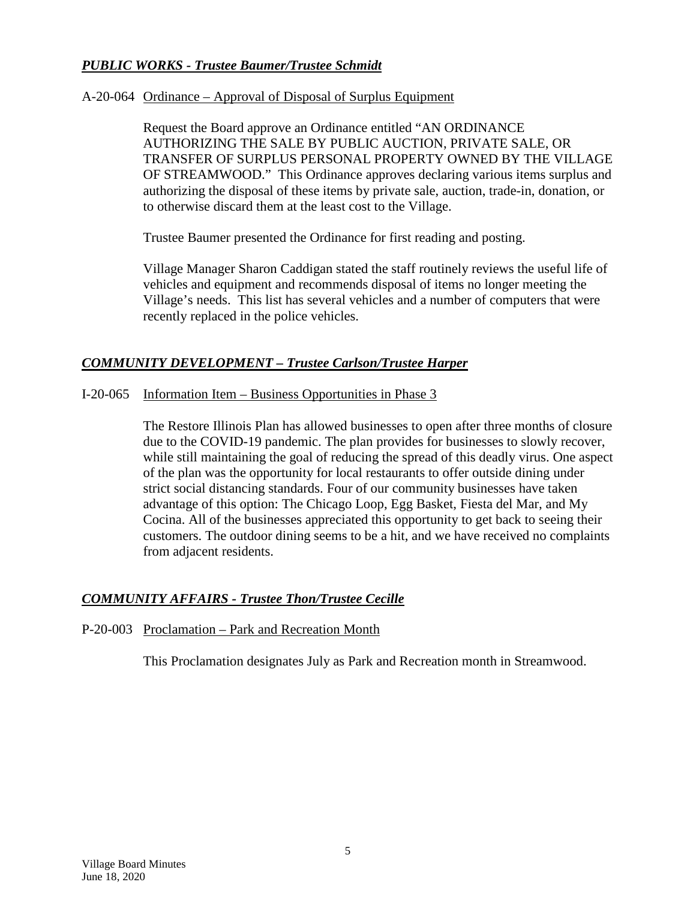# *PUBLIC WORKS - Trustee Baumer/Trustee Schmidt*

### A-20-064 Ordinance – Approval of Disposal of Surplus Equipment

Request the Board approve an Ordinance entitled "AN ORDINANCE AUTHORIZING THE SALE BY PUBLIC AUCTION, PRIVATE SALE, OR TRANSFER OF SURPLUS PERSONAL PROPERTY OWNED BY THE VILLAGE OF STREAMWOOD." This Ordinance approves declaring various items surplus and authorizing the disposal of these items by private sale, auction, trade-in, donation, or to otherwise discard them at the least cost to the Village.

Trustee Baumer presented the Ordinance for first reading and posting.

Village Manager Sharon Caddigan stated the staff routinely reviews the useful life of vehicles and equipment and recommends disposal of items no longer meeting the Village's needs. This list has several vehicles and a number of computers that were recently replaced in the police vehicles.

## *COMMUNITY DEVELOPMENT – Trustee Carlson/Trustee Harper*

### I-20-065 Information Item – Business Opportunities in Phase 3

The Restore Illinois Plan has allowed businesses to open after three months of closure due to the COVID-19 pandemic. The plan provides for businesses to slowly recover, while still maintaining the goal of reducing the spread of this deadly virus. One aspect of the plan was the opportunity for local restaurants to offer outside dining under strict social distancing standards. Four of our community businesses have taken advantage of this option: The Chicago Loop, Egg Basket, Fiesta del Mar, and My Cocina. All of the businesses appreciated this opportunity to get back to seeing their customers. The outdoor dining seems to be a hit, and we have received no complaints from adjacent residents.

## *COMMUNITY AFFAIRS - Trustee Thon/Trustee Cecille*

#### P-20-003 Proclamation – Park and Recreation Month

This Proclamation designates July as Park and Recreation month in Streamwood.